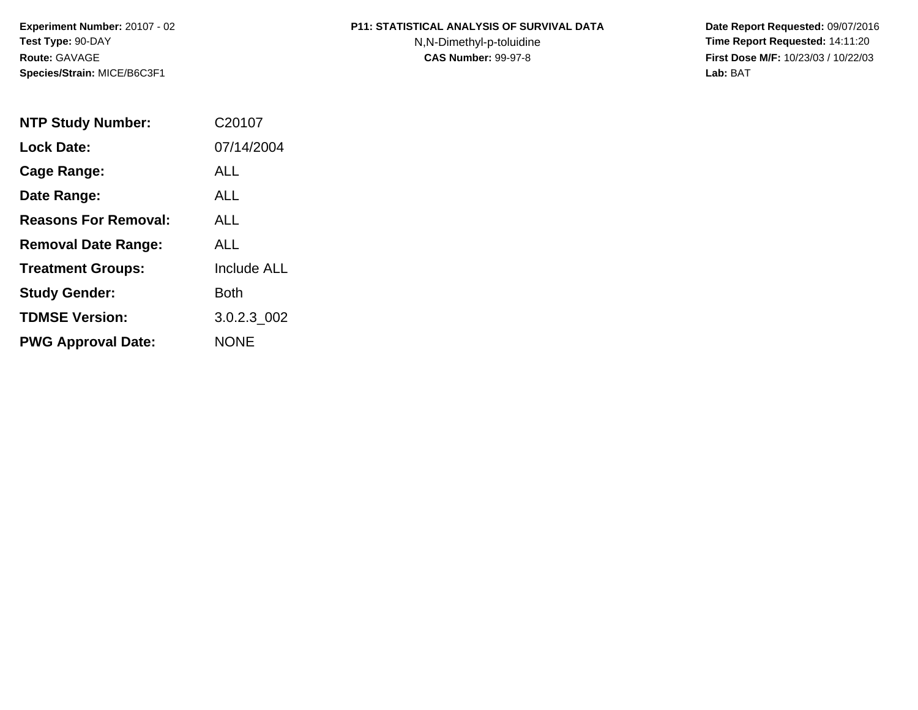**Experiment Number:** 20107 - 02**Test Type:** 90-DAY**Route:** GAVAGE**Species/Strain:** MICE/B6C3F1

## **P11: STATISTICAL ANALYSIS OF SURVIVAL DATA**

N,N-Dimethyl-p-toluidine

 **Date Report Requested:** 09/07/2016 **Time Report Requested:** 14:11:20 **First Dose M/F:** 10/23/03 / 10/22/03<br>Lab: BAT **Lab:** BAT

| <b>NTP Study Number:</b>    | C20107             |
|-----------------------------|--------------------|
| <b>Lock Date:</b>           | 07/14/2004         |
| Cage Range:                 | ALL                |
| Date Range:                 | AI I               |
| <b>Reasons For Removal:</b> | AI I               |
| <b>Removal Date Range:</b>  | ALL                |
| <b>Treatment Groups:</b>    | <b>Include ALL</b> |
| <b>Study Gender:</b>        | Both               |
| <b>TDMSE Version:</b>       | 3.0.2.3 002        |
| <b>PWG Approval Date:</b>   | <b>NONE</b>        |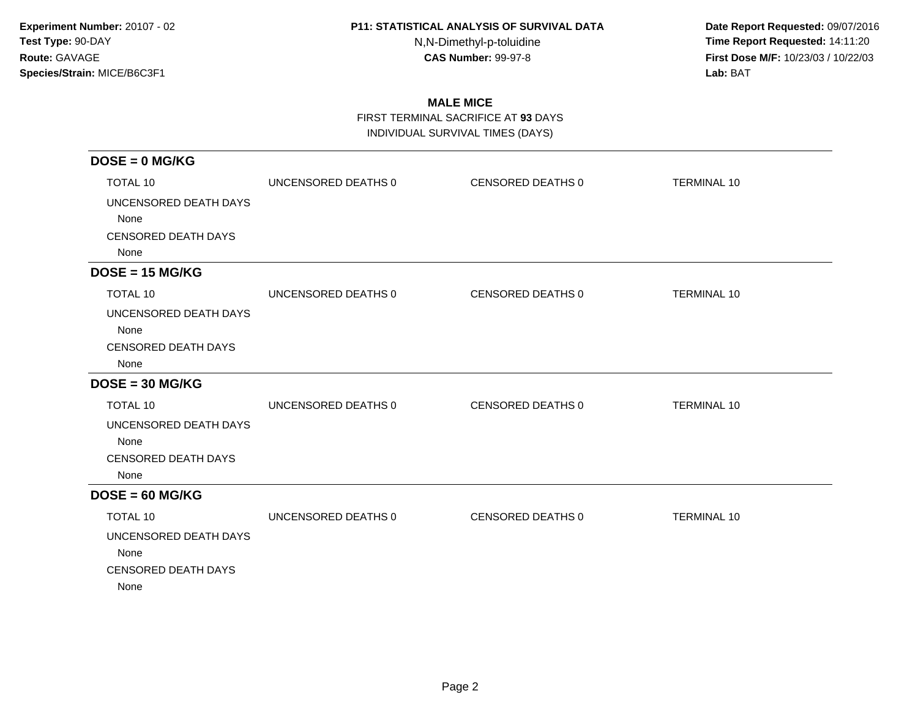N,N-Dimethyl-p-toluidine

 **Date Report Requested:** 09/07/2016 **Time Report Requested:** 14:11:20 **First Dose M/F:** 10/23/03 / 10/22/03<br>**Lab:** BAT **Lab:** BAT

# **MALE MICE**

FIRST TERMINAL SACRIFICE AT **93** DAYS

INDIVIDUAL SURVIVAL TIMES (DAYS)

| $DOSE = 0$ MG/KG           |                     |                   |                    |
|----------------------------|---------------------|-------------------|--------------------|
| <b>TOTAL 10</b>            | UNCENSORED DEATHS 0 | CENSORED DEATHS 0 | <b>TERMINAL 10</b> |
| UNCENSORED DEATH DAYS      |                     |                   |                    |
| None                       |                     |                   |                    |
| <b>CENSORED DEATH DAYS</b> |                     |                   |                    |
| None                       |                     |                   |                    |
| $DOSE = 15 MG/KG$          |                     |                   |                    |
| <b>TOTAL 10</b>            | UNCENSORED DEATHS 0 | CENSORED DEATHS 0 | <b>TERMINAL 10</b> |
| UNCENSORED DEATH DAYS      |                     |                   |                    |
| None                       |                     |                   |                    |
| CENSORED DEATH DAYS        |                     |                   |                    |
| None                       |                     |                   |                    |
| $DOSE = 30 MG/KG$          |                     |                   |                    |
| <b>TOTAL 10</b>            | UNCENSORED DEATHS 0 | CENSORED DEATHS 0 | <b>TERMINAL 10</b> |
| UNCENSORED DEATH DAYS      |                     |                   |                    |
| None                       |                     |                   |                    |
| <b>CENSORED DEATH DAYS</b> |                     |                   |                    |
| None                       |                     |                   |                    |
| $DOSE = 60 MG/KG$          |                     |                   |                    |
| TOTAL 10                   | UNCENSORED DEATHS 0 | CENSORED DEATHS 0 | <b>TERMINAL 10</b> |
| UNCENSORED DEATH DAYS      |                     |                   |                    |
| None                       |                     |                   |                    |
| <b>CENSORED DEATH DAYS</b> |                     |                   |                    |
| None                       |                     |                   |                    |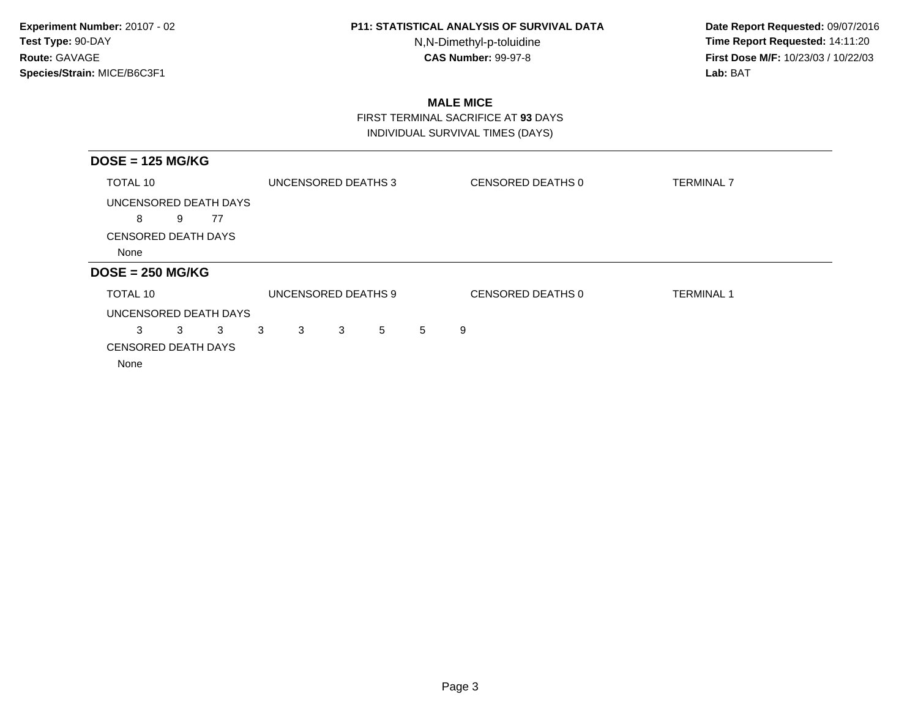N,N-Dimethyl-p-toluidine

 **Date Report Requested:** 09/07/2016 **Time Report Requested:** 14:11:20 **First Dose M/F:** 10/23/03 / 10/22/03<br>**Lab:** BAT **Lab:** BAT

## **MALE MICE**

 FIRST TERMINAL SACRIFICE AT **93** DAYSINDIVIDUAL SURVIVAL TIMES (DAYS)

| $DOSE = 125 MG/KG$         |   |    |   |                     |   |   |   |                   |                   |
|----------------------------|---|----|---|---------------------|---|---|---|-------------------|-------------------|
| TOTAL 10                   |   |    |   | UNCENSORED DEATHS 3 |   |   |   | CENSORED DEATHS 0 | <b>TERMINAL 7</b> |
| UNCENSORED DEATH DAYS      |   |    |   |                     |   |   |   |                   |                   |
| 8                          | 9 | 77 |   |                     |   |   |   |                   |                   |
| <b>CENSORED DEATH DAYS</b> |   |    |   |                     |   |   |   |                   |                   |
| None                       |   |    |   |                     |   |   |   |                   |                   |
| $DOSE = 250 MG/KG$         |   |    |   |                     |   |   |   |                   |                   |
| TOTAL 10                   |   |    |   | UNCENSORED DEATHS 9 |   |   |   | CENSORED DEATHS 0 | <b>TERMINAL 1</b> |
| UNCENSORED DEATH DAYS      |   |    |   |                     |   |   |   |                   |                   |
| 3                          | 3 | 3  | 3 | 3                   | 3 | 5 | 5 | 9                 |                   |
| <b>CENSORED DEATH DAYS</b> |   |    |   |                     |   |   |   |                   |                   |
| None                       |   |    |   |                     |   |   |   |                   |                   |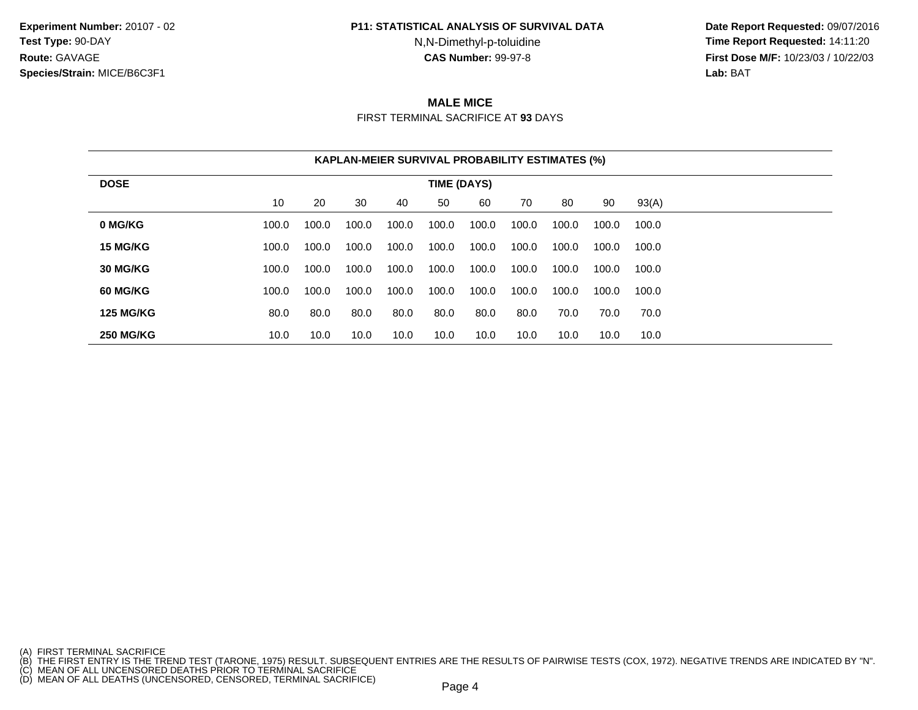**Experiment Number:** 20107 - 02**Test Type:** 90-DAY**Route:** GAVAGE**Species/Strain:** MICE/B6C3F1

#### **P11: STATISTICAL ANALYSIS OF SURVIVAL DATA**

N,N-Dimethyl-p-toluidine

 **Date Report Requested:** 09/07/2016 **Time Report Requested:** 14:11:20 **First Dose M/F:** 10/23/03 / 10/22/03<br>**Lab:** BAT **Lab:** BAT

# **MALE MICE**

FIRST TERMINAL SACRIFICE AT **93** DAYS

|                  |       |       |       | <b>KAPLAN-MEIER SURVIVAL PROBABILITY ESTIMATES (%)</b> |             |       |       |       |       |       |  |
|------------------|-------|-------|-------|--------------------------------------------------------|-------------|-------|-------|-------|-------|-------|--|
| <b>DOSE</b>      |       |       |       |                                                        | TIME (DAYS) |       |       |       |       |       |  |
|                  | 10    | 20    | 30    | 40                                                     | 50          | 60    | 70    | 80    | 90    | 93(A) |  |
| 0 MG/KG          | 100.0 | 100.0 | 100.0 | 100.0                                                  | 100.0       | 100.0 | 100.0 | 100.0 | 100.0 | 100.0 |  |
| 15 MG/KG         | 100.0 | 100.0 | 100.0 | 100.0                                                  | 100.0       | 100.0 | 100.0 | 100.0 | 100.0 | 100.0 |  |
| 30 MG/KG         | 100.0 | 100.0 | 100.0 | 100.0                                                  | 100.0       | 100.0 | 100.0 | 100.0 | 100.0 | 100.0 |  |
| 60 MG/KG         | 100.0 | 100.0 | 100.0 | 100.0                                                  | 100.0       | 100.0 | 100.0 | 100.0 | 100.0 | 100.0 |  |
| <b>125 MG/KG</b> | 80.0  | 80.0  | 80.0  | 80.0                                                   | 80.0        | 80.0  | 80.0  | 70.0  | 70.0  | 70.0  |  |
| <b>250 MG/KG</b> | 10.0  | 10.0  | 10.0  | 10.0                                                   | 10.0        | 10.0  | 10.0  | 10.0  | 10.0  | 10.0  |  |

<sup>(</sup>A) FIRST TERMINAL SACRIFICE<br>(B) THE FIRST ENTRY IS THE TREND TEST (TARONE, 1975) RESULT. SUBSEQUENT ENTRIES ARE THE RESULTS OF PAIRWISE TESTS (COX, 1972). NEGATIVE TRENDS ARE INDICATED BY "N".<br>(C) MEAN OF ALL UNCENSORED D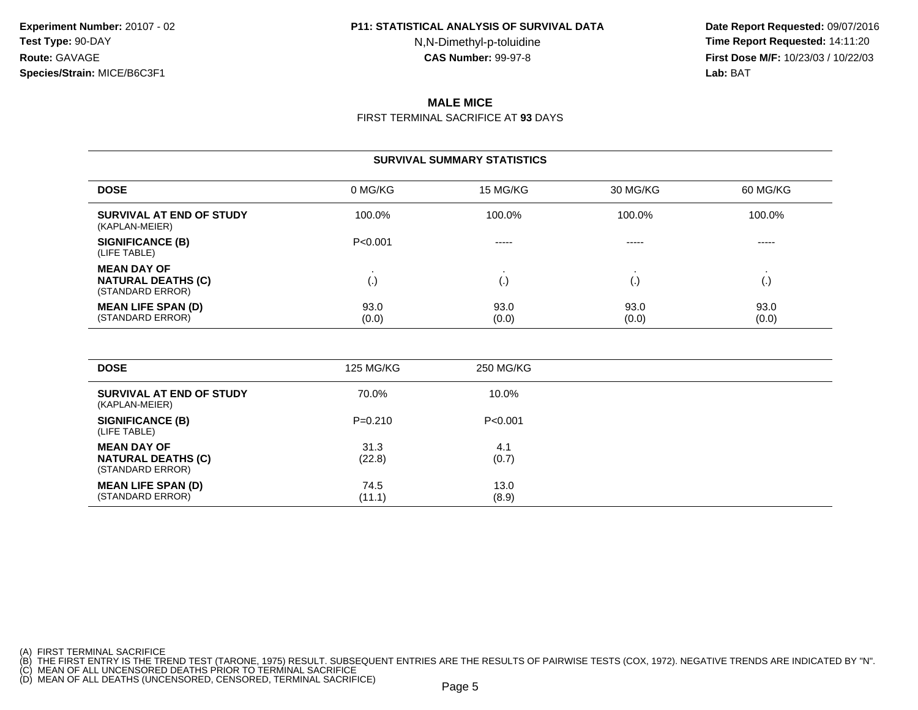N,N-Dimethyl-p-toluidine

 **Date Report Requested:** 09/07/2016 **Time Report Requested:** 14:11:20 **First Dose M/F:** 10/23/03 / 10/22/03<br>**Lab:** BAT **Lab:** BAT

# **MALE MICE**

FIRST TERMINAL SACRIFICE AT **93** DAYS

#### **SURVIVAL SUMMARY STATISTICSDOSE** 0 MG/KG 15 MG/KG 30 MG/KG 60 MG/KG **SURVIVAL AT END OF STUDY** 100.0%% 100.0% 100.0% 100.0% 100.0% 100.0% (KAPLAN-MEIER)**SIGNIFICANCE (B)** P<0.001 ----- ----- ----- (LIFE TABLE)**MEAN DAY OF** . . . . **NATURAL DEATHS (C)** (.) (.) (.) (.) (STANDARD ERROR)**MEAN LIFE SPAN (D)** 93.0 $\begin{array}{ccc} 0 & 93.0 & 93.0 & \end{array}$ (STANDARD ERROR) (0.0) $(0.0)$   $(0.0)$   $(0.0)$   $(0.0)$

| <b>DOSE</b>                                                         | 125 MG/KG      | 250 MG/KG     |
|---------------------------------------------------------------------|----------------|---------------|
| SURVIVAL AT END OF STUDY<br>(KAPLAN-MEIER)                          | 70.0%          | 10.0%         |
| <b>SIGNIFICANCE (B)</b><br>(LIFE TABLE)                             | $P=0.210$      | P < 0.001     |
| <b>MEAN DAY OF</b><br><b>NATURAL DEATHS (C)</b><br>(STANDARD ERROR) | 31.3<br>(22.8) | 4.1<br>(0.7)  |
| <b>MEAN LIFE SPAN (D)</b><br>(STANDARD ERROR)                       | 74.5<br>(11.1) | 13.0<br>(8.9) |

(A) FIRST TERMINAL SACRIFICE

(B) THE FIRST ENTRY IS THE TREND TEST (TARONE, 1975) RESULT. SUBSEQUENT ENTRIES ARE THE RESULTS OF PAIRWISE TESTS (COX, 1972). NEGATIVE TRENDS ARE INDICATED BY "N".<br>(C) MEAN OF ALL UNCENSORED DEATHS PRIOR TO TERMINAL SACRI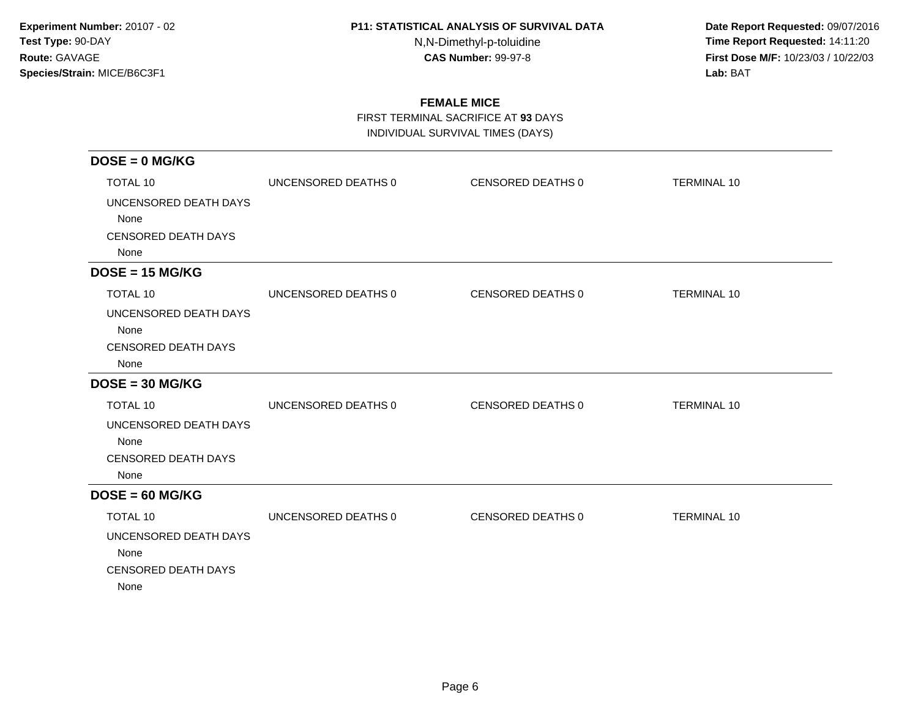N,N-Dimethyl-p-toluidine

 **Date Report Requested:** 09/07/2016 **Time Report Requested:** 14:11:20 **First Dose M/F:** 10/23/03 / 10/22/03<br>**Lab:** BAT **Lab:** BAT

## **FEMALE MICE**

FIRST TERMINAL SACRIFICE AT **93** DAYS

INDIVIDUAL SURVIVAL TIMES (DAYS)

| $DOSE = 0$ MG/KG                   |                     |                   |                    |
|------------------------------------|---------------------|-------------------|--------------------|
| TOTAL 10                           | UNCENSORED DEATHS 0 | CENSORED DEATHS 0 | <b>TERMINAL 10</b> |
| UNCENSORED DEATH DAYS              |                     |                   |                    |
| None                               |                     |                   |                    |
| <b>CENSORED DEATH DAYS</b>         |                     |                   |                    |
| None                               |                     |                   |                    |
| $DOSE = 15 MG/KG$                  |                     |                   |                    |
| TOTAL 10                           | UNCENSORED DEATHS 0 | CENSORED DEATHS 0 | <b>TERMINAL 10</b> |
| UNCENSORED DEATH DAYS              |                     |                   |                    |
| None                               |                     |                   |                    |
| <b>CENSORED DEATH DAYS</b><br>None |                     |                   |                    |
| $DOSE = 30 MG/KG$                  |                     |                   |                    |
| <b>TOTAL 10</b>                    | UNCENSORED DEATHS 0 | CENSORED DEATHS 0 | <b>TERMINAL 10</b> |
| UNCENSORED DEATH DAYS              |                     |                   |                    |
| None                               |                     |                   |                    |
| <b>CENSORED DEATH DAYS</b>         |                     |                   |                    |
| None                               |                     |                   |                    |
| $DOSE = 60 MG/KG$                  |                     |                   |                    |
| TOTAL 10                           | UNCENSORED DEATHS 0 | CENSORED DEATHS 0 | <b>TERMINAL 10</b> |
| UNCENSORED DEATH DAYS              |                     |                   |                    |
| None                               |                     |                   |                    |
| <b>CENSORED DEATH DAYS</b><br>None |                     |                   |                    |
|                                    |                     |                   |                    |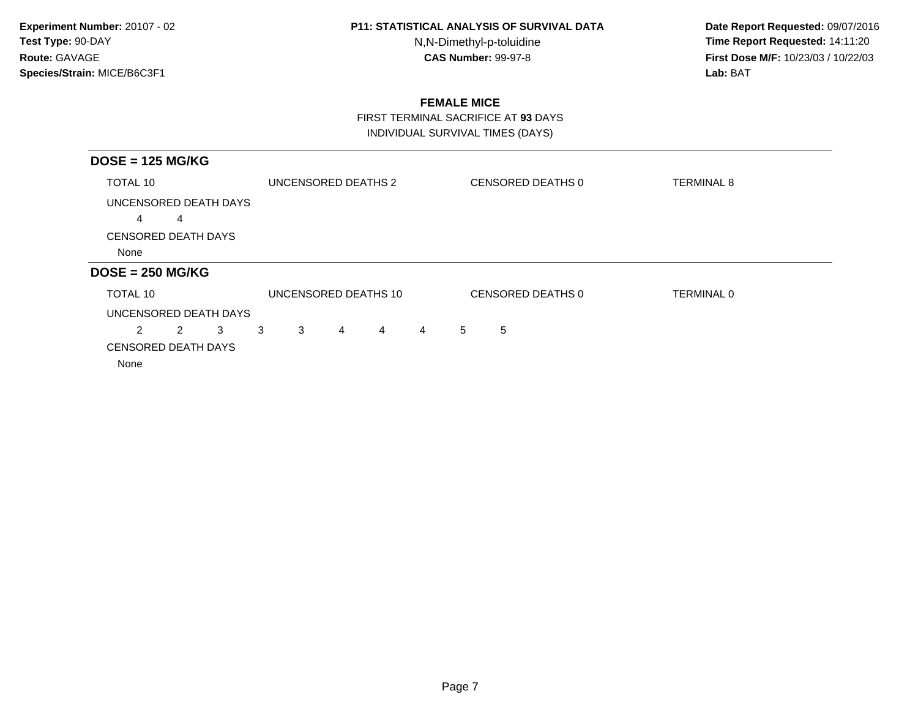N,N-Dimethyl-p-toluidine

 **Date Report Requested:** 09/07/2016 **Time Report Requested:** 14:11:20 **First Dose M/F:** 10/23/03 / 10/22/03<br>**Lab:** BAT **Lab:** BAT

## **FEMALE MICE**

 FIRST TERMINAL SACRIFICE AT **93** DAYSINDIVIDUAL SURVIVAL TIMES (DAYS)

| $DOSE = 125 MG/KG$         |   |   |   |                     |                |                      |                |             |                   |                   |
|----------------------------|---|---|---|---------------------|----------------|----------------------|----------------|-------------|-------------------|-------------------|
| TOTAL 10                   |   |   |   | UNCENSORED DEATHS 2 |                |                      |                |             | CENSORED DEATHS 0 | <b>TERMINAL 8</b> |
| UNCENSORED DEATH DAYS      |   |   |   |                     |                |                      |                |             |                   |                   |
| 4                          | 4 |   |   |                     |                |                      |                |             |                   |                   |
| <b>CENSORED DEATH DAYS</b> |   |   |   |                     |                |                      |                |             |                   |                   |
| None                       |   |   |   |                     |                |                      |                |             |                   |                   |
| $DOSE = 250 MG/KG$         |   |   |   |                     |                |                      |                |             |                   |                   |
| TOTAL 10                   |   |   |   |                     |                | UNCENSORED DEATHS 10 |                |             | CENSORED DEATHS 0 | TERMINAL 0        |
| UNCENSORED DEATH DAYS      |   |   |   |                     |                |                      |                |             |                   |                   |
| 2                          | 2 | 3 | 3 | 3                   | $\overline{4}$ | $\overline{4}$       | $\overline{4}$ | $5^{\circ}$ | 5                 |                   |
| <b>CENSORED DEATH DAYS</b> |   |   |   |                     |                |                      |                |             |                   |                   |
| None                       |   |   |   |                     |                |                      |                |             |                   |                   |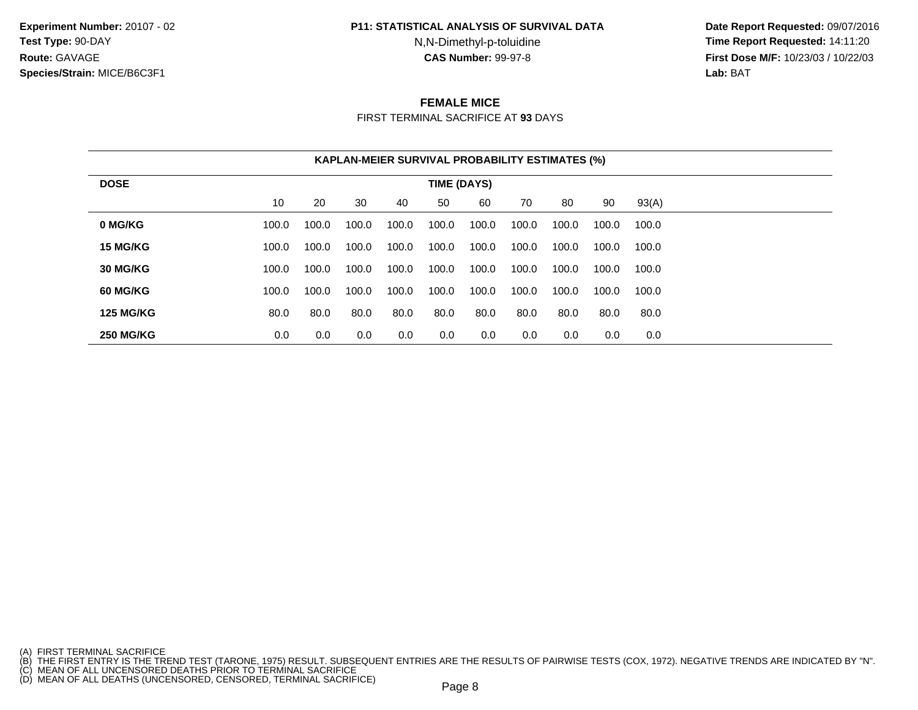**Experiment Number:** 20107 - 02**Test Type:** 90-DAY**Route:** GAVAGE**Species/Strain:** MICE/B6C3F1

#### **P11: STATISTICAL ANALYSIS OF SURVIVAL DATA**

N,N-Dimethyl-p-toluidine

 **Date Report Requested:** 09/07/2016 **Time Report Requested:** 14:11:20 **First Dose M/F:** 10/23/03 / 10/22/03<br>**Lab:** BAT **Lab:** BAT

## **FEMALE MICE**

FIRST TERMINAL SACRIFICE AT **93** DAYS

|                  |       |       |       | <b>KAPLAN-MEIER SURVIVAL PROBABILITY ESTIMATES (%)</b> |             |       |       |       |       |       |
|------------------|-------|-------|-------|--------------------------------------------------------|-------------|-------|-------|-------|-------|-------|
| <b>DOSE</b>      |       |       |       |                                                        | TIME (DAYS) |       |       |       |       |       |
|                  | 10    | 20    | 30    | 40                                                     | 50          | 60    | 70    | 80    | 90    | 93(A) |
| 0 MG/KG          | 100.0 | 100.0 | 100.0 | 100.0                                                  | 100.0       | 100.0 | 100.0 | 100.0 | 100.0 | 100.0 |
| 15 MG/KG         | 100.0 | 100.0 | 100.0 | 100.0                                                  | 100.0       | 100.0 | 100.0 | 100.0 | 100.0 | 100.0 |
| 30 MG/KG         | 100.0 | 100.0 | 100.0 | 100.0                                                  | 100.0       | 100.0 | 100.0 | 100.0 | 100.0 | 100.0 |
| 60 MG/KG         | 100.0 | 100.0 | 100.0 | 100.0                                                  | 100.0       | 100.0 | 100.0 | 100.0 | 100.0 | 100.0 |
| <b>125 MG/KG</b> | 80.0  | 80.0  | 80.0  | 80.0                                                   | 80.0        | 80.0  | 80.0  | 80.0  | 80.0  | 80.0  |
| <b>250 MG/KG</b> | 0.0   | 0.0   | 0.0   | 0.0                                                    | 0.0         | 0.0   | 0.0   | 0.0   | 0.0   | 0.0   |

<sup>(</sup>A) FIRST TERMINAL SACRIFICE<br>(B) THE FIRST ENTRY IS THE TREND TEST (TARONE, 1975) RESULT. SUBSEQUENT ENTRIES ARE THE RESULTS OF PAIRWISE TESTS (COX, 1972). NEGATIVE TRENDS ARE INDICATED BY "N".<br>(C) MEAN OF ALL UNCENSORED D